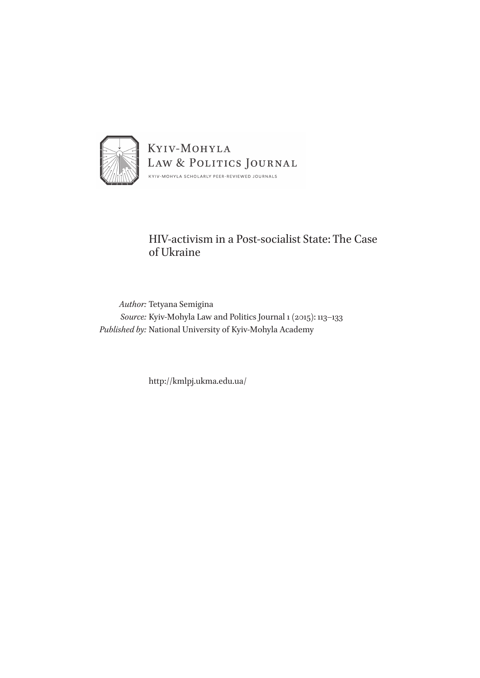

## HIV-activism in a Post-socialist State: The Case of Ukraine

*Author:* Tetyana Semigina *Source:* Kyiv-Mohyla Law and Politics Journal 1 (2015): 113–133 *Published by:* National University of Kyiv-Mohyla Academy

http://kmlpj.ukma.edu.ua/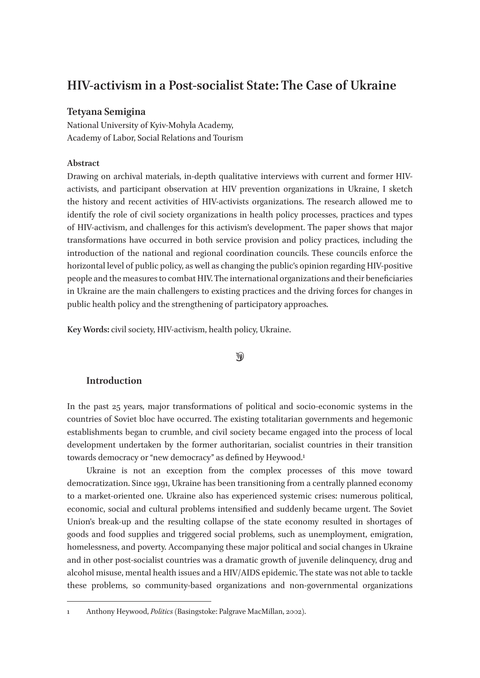# **HIV-activism in a Post-socialist State: The Case of Ukraine**

### **Tetyana Semigina**

National University of Kyiv-Mohyla Academy, Academy of Labor, Social Relations and Tourism

### **Abstract**

Drawing on archival materials, in-depth qualitative interviews with current and former HIVactivists, and participant observation at HIV prevention organizations in Ukraine, I sketch the history and recent activities of HIV-activists organizations. The research allowed me to identify the role of civil society organizations in health policy processes, practices and types of HIV-activism, and challenges for this activism's development. The paper shows that major transformations have occurred in both service provision and policy practices, including the introduction of the national and regional coordination councils. These councils enforce the horizontal level of public policy, as well as changing the public's opinion regarding HIV-positive people and the measures to combat HIV. The international organizations and their beneficiaries in Ukraine are the main challengers to existing practices and the driving forces for changes in public health policy and the strengthening of participatory approaches.

**Key Words:** civil society, HIV-activism, health policy, Ukraine.

### $\circledast$

### **Introduction**

In the past 25 years, major transformations of political and socio-economic systems in the countries of Soviet bloc have occurred. The existing totalitarian governments and hegemonic establishments began to crumble, and civil society became engaged into the process of local development undertaken by the former authoritarian, socialist countries in their transition towards democracy or "new democracy" as defined by Heywood.<sup>1</sup>

Ukraine is not an exception from the complex processes of this move toward democratization. Since 1991, Ukraine has been transitioning from a centrally planned economy to a market-oriented one. Ukraine also has experienced systemic crises: numerous political, economic, social and cultural problems intensified and suddenly became urgent. The Soviet Union's break-up and the resulting collapse of the state economy resulted in shortages of goods and food supplies and triggered social problems, such as unemployment, emigration, homelessness, and poverty. Accompanying these major political and social changes in Ukraine and in other post-socialist countries was a dramatic growth of juvenile delinquency, drug and alcohol misuse, mental health issues and a HIV/AIDS epidemic. The state was not able to tackle these problems, so community-based organizations and non-governmental organizations

<sup>1</sup> Anthony Heywood, *Politics* (Basingstoke: Palgrave MacMillan, 2002).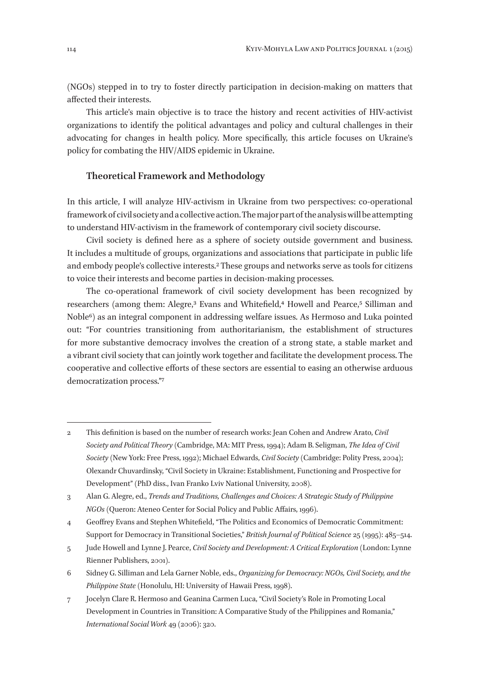(NGOs) stepped in to try to foster directly participation in decision-making on matters that affected their interests.

This article's main objective is to trace the history and recent activities of HIV-activist organizations to identify the political advantages and policy and cultural challenges in their advocating for changes in health policy. More specifically, this article focuses on Ukraine's policy for combating the HIV/AIDS epidemic in Ukraine.

#### **Theoretical Framework and Methodology**

In this article, I will analyze HIV-activism in Ukraine from two perspectives: co-operational framework of civil society and a collective action. The major part of the analysis will be attempting to understand HIV-activism in the framework of contemporary civil society discourse.

Civil society is defined here as a sphere of society outside government and business. It includes a multitude of groups, organizations and associations that participate in public life and embody people's collective interests.2 These groups and networks serve as tools for citizens to voice their interests and become parties in decision-making processes.

The co-operational framework of civil society development has been recognized by researchers (among them: Alegre,<sup>3</sup> Evans and Whitefield,<sup>4</sup> Howell and Pearce,<sup>5</sup> Silliman and Noble6) as an integral component in addressing welfare issues. As Hermoso and Luka pointed out: "For countries transitioning from authoritarianism, the establishment of structures for more substantive democracy involves the creation of a strong state, a stable market and a vibrant civil society that can jointly work together and facilitate the development process. The cooperative and collective efforts of these sectors are essential to easing an otherwise arduous democratization process."7

- 5 Jude Howell and Lynne J. Pearce, *Civil Society and Development: A Critical Exploration* (London: Lynne Rienner Publishers, 2001).
- 6 Sidney G. Silliman and Lela Garner Noble, eds., *Organizing for Democracy: NGOs, Civil Society, and the Philippine State* (Honolulu, HI: University of Hawaii Press, 1998).
- 7 Jocelyn Clare R. Hermoso and Geanina Carmen Luca, "Civil Society's Role in Promoting Local Development in Countries in Transition: A Comparative Study of the Philippines and Romania," *International Social Work* 49 (2006): 320.

<sup>2</sup> This definition is based on the number of research works: Jean Cohen and Andrew Arato, *Civil Society and Political Theory* (Cambridge, MA: MIT Press, 1994); Adam B. Seligman, *The Idea of Civil Society* (New York: Free Press, 1992); Michael Edwards, *Civil Society* (Cambridge: Polity Press, 2004); Olexandr Chuvardinsky, "Civil Society in Ukraine: Establishment, Functioning and Prospective for Development" (PhD diss., Ivan Franko Lviv National University, 2008).

<sup>3</sup> Alan G. Alegre, ed., *Trends and Traditions, Challenges and Choices: A Strategic Study of Philippine NGOs* (Queron: Ateneo Center for Social Policy and Public Affairs, 1996).

<sup>4</sup> Geoffrey Evans and Stephen Whitefield, "The Politics and Economics of Democratic Commitment: Support for Democracy in Transitional Societies," *British Journal of Political Science* 25 (1995): 485–514.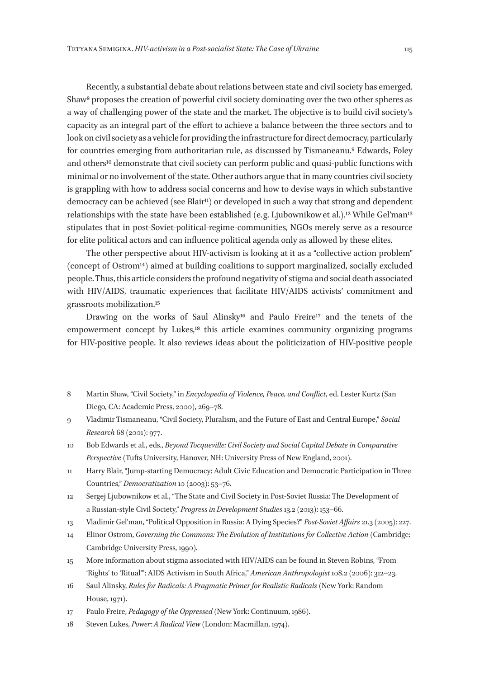Recently, a substantial debate about relations between state and civil society has emerged. Shaw8 proposes the creation of powerful civil society dominating over the two other spheres as a way of challenging power of the state and the market. The objective is to build civil society's capacity as an integral part of the effort to achieve a balance between the three sectors and to look on civil society as a vehicle for providing the infrastructure for direct democracy, particularly for countries emerging from authoritarian rule, as discussed by Tismaneanu.9 Edwards, Foley and others<sup>10</sup> demonstrate that civil society can perform public and quasi-public functions with minimal or no involvement of the state. Other authors argue that in many countries civil society is grappling with how to address social concerns and how to devise ways in which substantive democracy can be achieved (see Blair<sup>11</sup>) or developed in such a way that strong and dependent relationships with the state have been established (e.g. Ljubownikow et al.).<sup>12</sup> While Gel'man<sup>13</sup> stipulates that in post-Soviet-political-regime-communities, NGOs merely serve as a resource for elite political actors and can influence political agenda only as allowed by these elites.

The other perspective about HIV-activism is looking at it as a "collective action problem" (concept of Ostrom14) aimed at building coalitions to support marginalized, socially excluded people. Thus, this article considers the profound negativity of stigma and social death associated with HIV/AIDS, traumatic experiences that facilitate HIV/AIDS activists' commitment and grassroots mobilization.15

Drawing on the works of Saul Alinsky<sup>16</sup> and Paulo Freire<sup>17</sup> and the tenets of the empowerment concept by Lukes,18 this article examines community organizing programs for HIV-positive people. It also reviews ideas about the politicization of HIV-positive people

<sup>8</sup> Martin Shaw, "Civil Society," in *Encyclopedia of Violence, Peace, and Conflict*, ed. Lester Kurtz (San Diego, CA: Academic Press, 2000), 269–78.

<sup>9</sup> Vladimir Tismaneanu, "Civil Society, Pluralism, and the Future of East and Central Europe," *Social Research* 68 (2001): 977.

<sup>10</sup> Bob Edwards et al., eds., *Beyond Tocqueville: Civil Society and Social Capital Debate in Comparative Perspective* (Tufts University, Hanover, NH: University Press of New England, 2001).

<sup>11</sup> Harry Blair, "Jump-starting Democracy: Adult Civic Education and Democratic Participation in Three Countries," *Democratization* 10 (2003): 53–76.

<sup>12</sup> Sergej Ljubownikow et al., "The State and Civil Society in Post-Soviet Russia: The Development of a Russian-style Civil Society," *Progress in Development Studies* 13.2 (2013): 153–66.

<sup>13</sup> Vladimir Gel'man, "Political Opposition in Russia: A Dying Species?" *Post-Soviet Affairs* 21.3 (2005): 227.

<sup>14</sup> Elinor Ostrom, *Governing the Commons: The Evolution of Institutions for Collective Action* (Cambridge: Cambridge University Press, 1990).

<sup>15</sup> More information about stigma associated with HIV/AIDS can be found in Steven Robins, "From 'Rights' to 'Ritual'": AIDS Activism in South Africa," *American Anthropologist* 108.2 (2006): 312–23.

<sup>16</sup> Saul Alinsky, *Rules for Radicals: A Pragmatic Primer for Realistic Radicals* (New York: Random House, 1971).

<sup>17</sup> Paulo Freire, *Pedagogy of the Oppressed* (New York: Continuum, 1986).

<sup>18</sup> Steven Lukes, *Power: A Radical View* (London: Macmillan, 1974).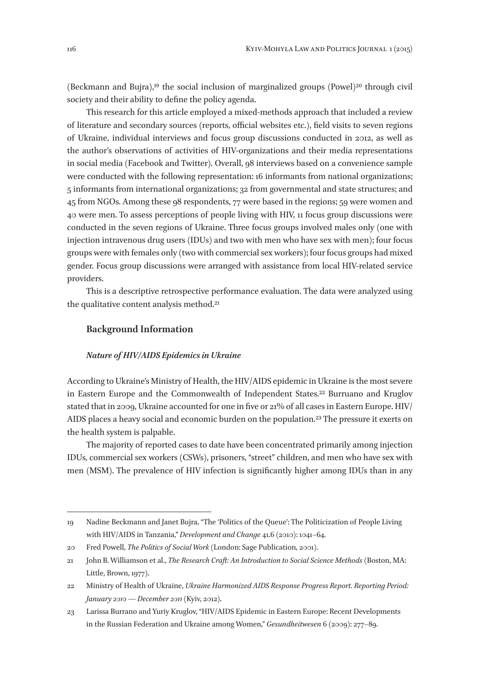(Beckmann and Bujra),19 the social inclusion of marginalized groups (Powel)20 through civil society and their ability to define the policy agenda.

This research for this article employed a mixed-methods approach that included a review of literature and secondary sources (reports, official websites etc.), field visits to seven regions of Ukraine, individual interviews and focus group discussions conducted in 2012, as well as the author's observations of activities of HIV-organizations and their media representations in social media (Facebook and Twitter). Overall, 98 interviews based on a convenience sample were conducted with the following representation: 16 informants from national organizations; 5 informants from international organizations; 32 from governmental and state structures; and 45 from NGOs. Among these 98 respondents, 77 were based in the regions; 59 were women and 40 were men. To assess perceptions of people living with HIV, 11 focus group discussions were conducted in the seven regions of Ukraine. Three focus groups involved males only (one with injection intravenous drug users (IDUs) and two with men who have sex with men); four focus groups were with females only (two with commercial sex workers); four focus groups had mixed gender. Focus group discussions were arranged with assistance from local HIV-related service providers.

This is a descriptive retrospective performance evaluation. The data were analyzed using the qualitative content analysis method.21

### **Background Information**

#### *Nature of HIV/AIDS Epidemics in Ukraine*

According to Ukraine's Ministry of Health, the HIV/AIDS epidemic in Ukraine is the most severe in Eastern Europe and the Commonwealth of Independent States.22 Burruano and Kruglov stated that in 2009, Ukraine accounted for one in five or 21% of all cases in Eastern Europe. HIV/ AIDS places a heavy social and economic burden on the population.23 The pressure it exerts on the health system is palpable.

The majority of reported cases to date have been concentrated primarily among injection IDUs, commercial sex workers (CSWs), prisoners, "street" children, and men who have sex with men (MSM). The prevalence of HIV infection is significantly higher among IDUs than in any

<sup>19</sup> Nadine Beckmann and Janet Bujra, "The 'Politics of the Queue': The Politicization of People Living with HIV/AIDS in Tanzania," *Development and Change* 41.6 (2010): 1041–64.

<sup>20</sup> Fred Powell, *The Politics of Social Work* (London: Sage Publication, 2001).

<sup>21</sup> John B. Williamson et al., *The Research Craft: An Introduction to Social Science Methods* (Boston, MA: Little, Brown, 1977).

<sup>22</sup> Ministry of Health of Ukraine, *Ukraine Harmonized AIDS Response Progress Report. Reporting Period: January 2010 — December 2011* (Kyiv, 2012).

<sup>23</sup> Larissa Burrano and Yuriy Kruglov, "HIV/AIDS Epidemic in Eastern Europe: Recent Developments in the Russian Federation and Ukraine among Women," *Gesundheitwesen* 6 (2009): 277–89.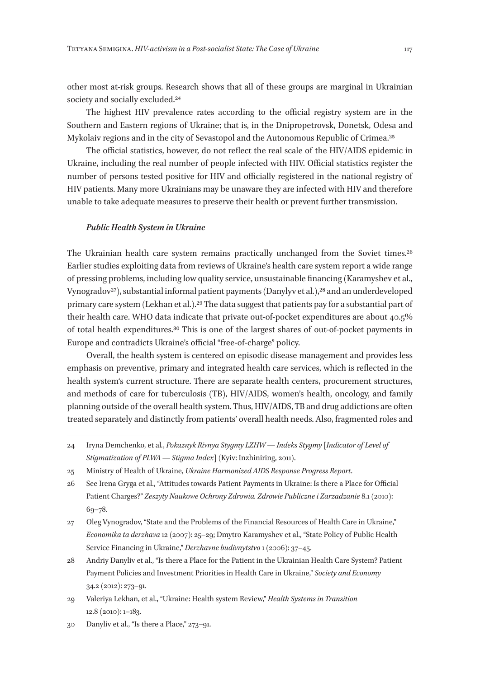other most at-risk groups. Research shows that all of these groups are marginal in Ukrainian society and socially excluded.<sup>24</sup>

The highest HIV prevalence rates according to the official registry system are in the Southern and Eastern regions of Ukraine; that is, in the Dnipropetrovsk, Donetsk, Odesa and Mykolaiv regions and in the city of Sevastopol and the Autonomous Republic of Crimea.25

The official statistics, however, do not reflect the real scale of the HIV/AIDS epidemic in Ukraine, including the real number of people infected with HIV. Official statistics register the number of persons tested positive for HIV and officially registered in the national registry of HIV patients. Many more Ukrainians may be unaware they are infected with HIV and therefore unable to take adequate measures to preserve their health or prevent further transmission.

#### *Public Health System in Ukraine*

The Ukrainian health care system remains practically unchanged from the Soviet times.<sup>26</sup> Earlier studies exploiting data from reviews of Ukraine's health care system report a wide range of pressing problems, including low quality service, unsustainable financing (Karamyshev et al., Vynogradov<sup>27</sup>), substantial informal patient payments (Danylyv et al.),<sup>28</sup> and an underdeveloped primary care system (Lekhan et al.).29 The data suggest that patients pay for a substantial part of their health care. WHO data indicate that private out-of-pocket expenditures are about 40.5% of total health expenditures.30 This is one of the largest shares of out-of-pocket payments in Europe and contradicts Ukraine's official "free-of-charge" policy.

Overall, the health system is centered on episodic disease management and provides less emphasis on preventive, primary and integrated health care services, which is reflected in the health system's current structure. There are separate health centers, procurement structures, and methods of care for tuberculosis (TB), HIV/AIDS, women's health, oncology, and family planning outside of the overall health system. Thus, HIV/AIDS, TB and drug addictions are often treated separately and distinctly from patients' overall health needs. Also, fragmented roles and

27 Oleg Vynogradov, "State and the Problems of the Financial Resources of Health Care in Ukraine," *Economika ta derzhava* 12 (2007): 25–29; Dmytro Karamyshev et al., "State Policy of Public Health Service Financing in Ukraine," *Derzhavne budivnytstvo* 1 (2006): 37–45.

<sup>24</sup> Iryna Demchenko, et al*.*, *Pokaznyk Rivnya Stygmy LZHW — Indeks Stygmy* [*Indicator of Level of Stigmatization of PLWA — Stigma Index*] (Kyiv: Inzhiniring, 2011).

<sup>25</sup> Ministry of Health of Ukraine, *Ukraine Harmonized AIDS Response Progress Report*.

<sup>26</sup> See Irena Gryga et al., "Attitudes towards Patient Payments in Ukraine: Is there a Place for Official Patient Charges?" *Zeszyty Naukowe Ochrony Zdrowia. Zdrowie Publiczne i Zarzadzanie* 8.1 (2010): 69–78.

<sup>28</sup> Andriy Danyliv et al., "Is there a Place for the Patient in the Ukrainian Health Care System? Patient Payment Policies and Investment Priorities in Health Care in Ukraine," *Society and Economy*  34.2 (2012): 273–91.

<sup>29</sup> Valeriya Lekhan, et al., "Ukraine: Health system Review," *Health Systems in Transition*  12.8 (2010): 1–183.

<sup>30</sup> Danyliv et al., "Is there a Place," 273–91.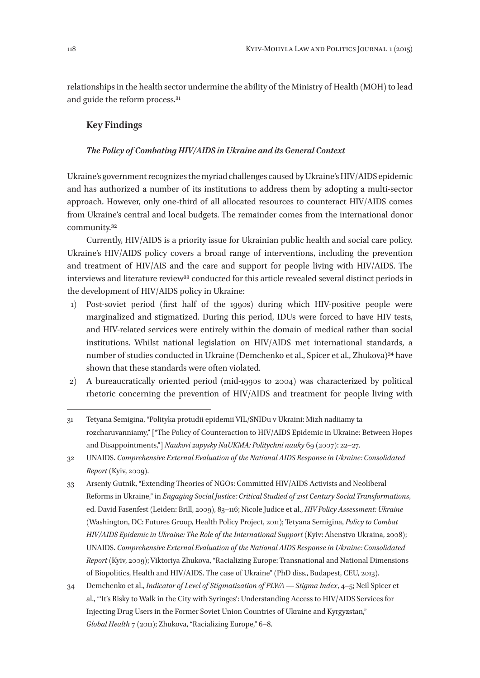relationships in the health sector undermine the ability of the Ministry of Health (MOH) to lead and guide the reform process.31

### **Key Findings**

### *The Policy of Combating HIV/AIDS in Ukraine and its General Context*

Ukraine's government recognizes the myriad challenges caused by Ukraine's HIV/AIDS epidemic and has authorized a number of its institutions to address them by adopting a multi-sector approach. However, only one-third of all allocated resources to counteract HIV/AIDS comes from Ukraine's central and local budgets. The remainder comes from the international donor community.32

Currently, HIV/AIDS is a priority issue for Ukrainian public health and social care policy. Ukraine's HIV/AIDS policy covers a broad range of interventions, including the prevention and treatment of HIV/AIS and the care and support for people living with HIV/AIDS. The interviews and literature review<sup>33</sup> conducted for this article revealed several distinct periods in the development of HIV/AIDS policy in Ukraine:

- 1) Post-soviet period (first half of the 1990s) during which HIV-positive people were marginalized and stigmatized. During this period, IDUs were forced to have HIV tests, and HIV-related services were entirely within the domain of medical rather than social institutions. Whilst national legislation on HIV/AIDS met international standards, a number of studies conducted in Ukraine (Demchenko et al., Spicer et al., Zhukova)<sup>34</sup> have shown that these standards were often violated.
- 2) A bureaucratically oriented period (mid-1990s to 2004) was characterized by political rhetoric concerning the prevention of HIV/AIDS and treatment for people living with
- 31 Tetyana Semigina, "Polityka protudii epidemii VIL/SNIDu v Ukraini: Mizh nadiiamy ta rozcharuvanniamy," ["The Policy of Counteraction to HIV/AIDS Epidemic in Ukraine: Between Hopes and Disappointments,"] *Naukovi zapysky NaUKMA: Politychni nauky* 69 (2007): 22–27.
- 32 UNAIDS. *Comprehensive External Evaluation of the National AIDS Response in Ukraine: Consolidated Report* (Kyiv, 2009).
- 33 Arseniy Gutnik, "Extending Theories of NGOs: Committed HIV/AIDS Activists and Neoliberal Reforms in Ukraine," in *Engaging Social Justice: Critical Studied of 21st Century Social Transformations*, ed. David Fasenfest (Leiden: Brill, 2009), 83–116; Nicole Judice et al., *HIV Policy Assessment: Ukraine* (Washington, DC: Futures Group, Health Policy Project, 2011); Tetyana Semigina, *Policy to Combat HIV/AIDS Epidemic in Ukraine: The Role of the International Support* (Kyiv: Ahenstvo Ukraina, 2008); UNAIDS. *Comprehensive External Evaluation of the National AIDS Response in Ukraine: Consolidated Report* (Kyiv, 2009); Viktoriya Zhukova, "Racializing Europe: Transnational and National Dimensions of Biopolitics, Health and HIV/AIDS. The case of Ukraine" (PhD diss., Budapest, CEU, 2013).
- 34 Demchenko et al., *Indicator of Level of Stigmatization of PLWA — Stigma Index*, 4–5; Neil Spicer et al., "'It's Risky to Walk in the City with Syringes': Understanding Access to HIV/AIDS Services for Injecting Drug Users in the Former Soviet Union Countries of Ukraine and Kyrgyzstan," *Global Health* 7 (2011); Zhukova, "Racializing Europe," 6–8.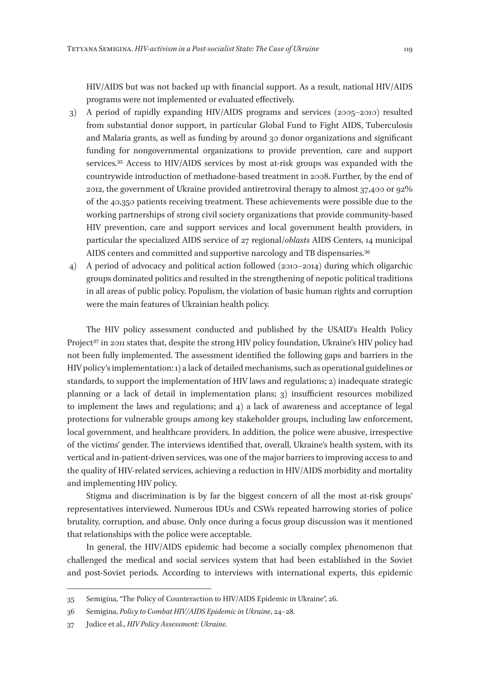HIV/AIDS but was not backed up with financial support. As a result, national HIV/AIDS programs were not implemented or evaluated effectively.

- 3) A period of rapidly expanding HIV/AIDS programs and services (2005–2010) resulted from substantial donor support, in particular Global Fund to Fight AIDS, Tuberculosis and Malaria grants, as well as funding by around 30 donor organizations and significant funding for nongovernmental organizations to provide prevention, care and support services.35 Access to HIV/AIDS services by most at-risk groups was expanded with the countrywide introduction of methadone-based treatment in 2008. Further, by the end of 2012, the government of Ukraine provided antiretroviral therapy to almost 37,400 or 92% of the 40,350 patients receiving treatment. These achievements were possible due to the working partnerships of strong civil society organizations that provide community-based HIV prevention, care and support services and local government health providers, in particular the specialized AIDS service of 27 regional/*oblasts* AIDS Centers, 14 municipal AIDS centers and committed and supportive narcology and TB dispensaries.<sup>36</sup>
- 4) A period of advocacy and political action followed (2010–2014) during which oligarchic groups dominated politics and resulted in the strengthening of nepotic political traditions in all areas of public policy. Populism, the violation of basic human rights and corruption were the main features of Ukrainian health policy.

The HIV policy assessment conducted and published by the USAID's Health Policy Project<sup>37</sup> in 2011 states that, despite the strong HIV policy foundation, Ukraine's HIV policy had not been fully implemented. The assessment identified the following gaps and barriers in the HIV policy's implementation: 1) a lack of detailed mechanisms, such as operational guidelines or standards, to support the implementation of HIV laws and regulations; 2) inadequate strategic planning or a lack of detail in implementation plans; 3) insufficient resources mobilized to implement the laws and regulations; and 4) a lack of awareness and acceptance of legal protections for vulnerable groups among key stakeholder groups, including law enforcement, local government, and healthcare providers. In addition, the police were abusive, irrespective of the victims' gender. The interviews identified that, overall, Ukraine's health system, with its vertical and in-patient-driven services, was one of the major barriers to improving access to and the quality of HIV-related services, achieving a reduction in HIV/AIDS morbidity and mortality and implementing HIV policy.

Stigma and discrimination is by far the biggest concern of all the most at-risk groups' representatives interviewed. Numerous IDUs and CSWs repeated harrowing stories of police brutality, corruption, and abuse. Only once during a focus group discussion was it mentioned that relationships with the police were acceptable.

In general, the HIV/AIDS epidemic had become a socially complex phenomenon that challenged the medical and social services system that had been established in the Soviet and post-Soviet periods. According to interviews with international experts, this epidemic

<sup>35</sup> Semigina, "The Policy of Counteraction to HIV/AIDS Epidemic in Ukraine", 26.

<sup>36</sup> Semigina, *Policy to Combat HIV/AIDS Epidemic in Ukraine*, 24–28.

<sup>37</sup> Judice et al., *HIV Policy Assessment: Ukraine.*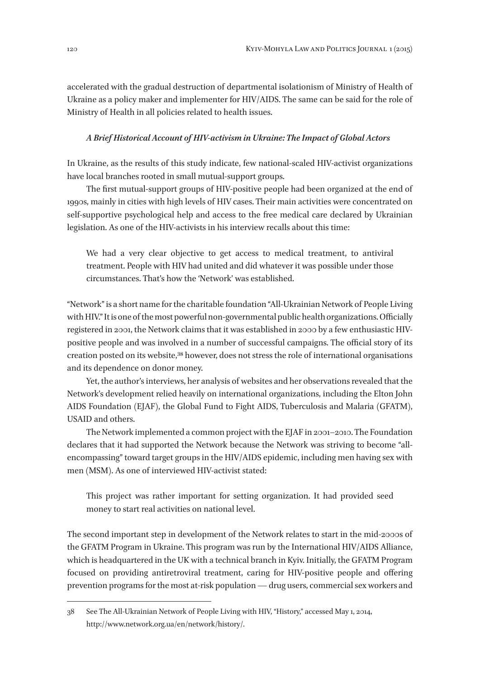accelerated with the gradual destruction of departmental isolationism of Ministry of Health of Ukraine as a policy maker and implementer for HIV/AIDS. The same can be said for the role of Ministry of Health in all policies related to health issues.

#### *A Brief Historical Account of HIV-activism in Ukraine: The Impact of Global Actors*

In Ukraine, as the results of this study indicate, few national-scaled HIV-activist organizations have local branches rooted in small mutual-support groups.

The first mutual-support groups of HIV-positive people had been organized at the end of 1990s, mainly in cities with high levels of HIV cases. Their main activities were concentrated on self-supportive psychological help and access to the free medical care declared by Ukrainian legislation. As one of the HIV-activists in his interview recalls about this time:

We had a very clear objective to get access to medical treatment, to antiviral treatment. People with HIV had united and did whatever it was possible under those circumstances. That's how the 'Network' was established.

"Network" is a short name for the charitable foundation "All-Ukrainian Network of People Living with HIV." It is one of the most powerful non-governmental public health organizations. Officially registered in 2001, the Network claims that it was established in 2000 by a few enthusiastic HIVpositive people and was involved in a number of successful campaigns. The official story of its creation posted on its website,38 however, does not stress the role of international organisations and its dependence on donor money.

Yet, the author's interviews, her analysis of websites and her observations revealed that the Network's development relied heavily on international organizations, including the Elton John AIDS Foundation (EJAF), the Global Fund to Fight AIDS, Tuberculosis and Malaria (GFATM), USAID and others.

The Network implemented a common project with the EJAF in 2001–2010. The Foundation declares that it had supported the Network because the Network was striving to become "allencompassing" toward target groups in the HIV/AIDS epidemic, including men having sex with men (MSM). As one of interviewed HIV-activist stated:

This project was rather important for setting organization. It had provided seed money to start real activities on national level.

The second important step in development of the Network relates to start in the mid-2000s of the GFATM Program in Ukraine. This program was run by the International HIV/AIDS Alliance, which is headquartered in the UK with a technical branch in Kyiv. Initially, the GFATM Program focused on providing antiretroviral treatment, caring for HIV-positive people and offering prevention programs for the most at-risk population — drug users, commercial sex workers and

<sup>38</sup> See The All-Ukrainian Network of People Living with HIV, "History," accessed May 1, 2014, http://www.network.org.ua/en/network/history/.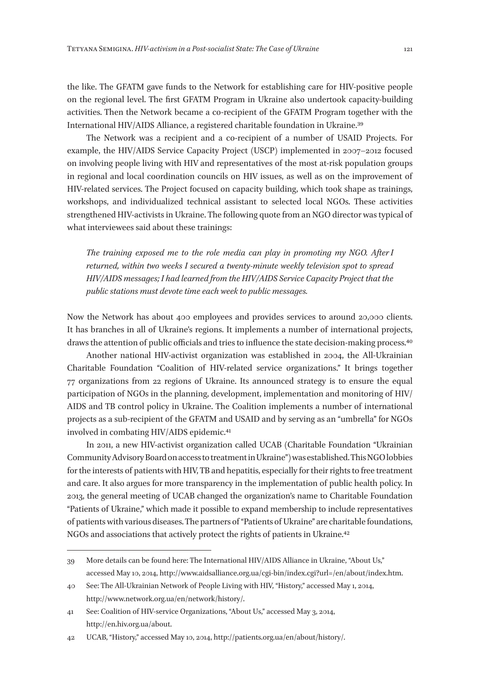the like. The GFATM gave funds to the Network for establishing care for HIV-positive people on the regional level. The first GFATM Program in Ukraine also undertook capacity-building activities. Then the Network became a co-recipient of the GFATM Program together with the International HIV/AIDS Alliance, a registered charitable foundation in Ukraine.39

The Network was a recipient and a co-recipient of a number of USAID Projects. For example, the HIV/AIDS Service Capacity Project (USCP) implemented in 2007–2012 focused on involving people living with HIV and representatives of the most at-risk population groups in regional and local coordination councils on HIV issues, as well as on the improvement of HIV-related services. The Project focused on capacity building, which took shape as trainings, workshops, and individualized technical assistant to selected local NGOs. These activities strengthened HIV-activists in Ukraine. The following quote from an NGO director was typical of what interviewees said about these trainings:

*The training exposed me to the role media can play in promoting my NGO. After I returned, within two weeks I secured a twenty-minute weekly television spot to spread HIV/AIDS messages; I had learned from the HIV/AIDS Service Capacity Project that the public stations must devote time each week to public messages.*

Now the Network has about 400 employees and provides services to around 20,000 clients. It has branches in all of Ukraine's regions. It implements a number of international projects, draws the attention of public officials and tries to influence the state decision-making process.40

Another national HIV-activist organization was established in 2004, the All-Ukrainian Charitable Foundation "Coalition of HIV-related service organizations." It brings together 77 organizations from 22 regions of Ukraine. Its announced strategy is to ensure the equal participation of NGOs in the planning, development, implementation and monitoring of HIV/ AIDS and TB control policy in Ukraine. The Coalition implements a number of international projects as a sub-recipient of the GFATM and USAID and by serving as an "umbrella" for NGOs involved in combating HIV/AIDS epidemic.41

In 2011, a new HIV-activist organization called UCAB (Charitable Foundation "Ukrainian Community Advisory Board on access to treatment in Ukraine") was established. This NGO lobbies for the interests of patients with HIV, TB and hepatitis, especially for their rights to free treatment and care. It also argues for more transparency in the implementation of public health policy. In 2013, the general meeting of UCAB changed the organization's name to Charitable Foundation "Patients of Ukraine," which made it possible to expand membership to include representatives of patients with various diseases. The partners of "Patients of Ukraine" are charitable foundations, NGOs and associations that actively protect the rights of patients in Ukraine.42

<sup>39</sup> More details can be found here: The International HIV/AIDS Alliance in Ukraine, "About Us," accessed May 10, 2014, http://www.aidsalliance.org.ua/cgi-bin/index.cgi?url=/en/about/index.htm.

<sup>40</sup> See: The All-Ukrainian Network of People Living with HIV, "History," accessed May 1, 2014, http://www.network.org.ua/en/network/history/.

<sup>41</sup> See: Coalition of HIV-service Organizations, "About Us," accessed May 3, 2014, http://en.hiv.org.ua/about.

<sup>42</sup> UCAB, "History," accessed May 10, 2014, http://patients.org.ua/en/about/history/.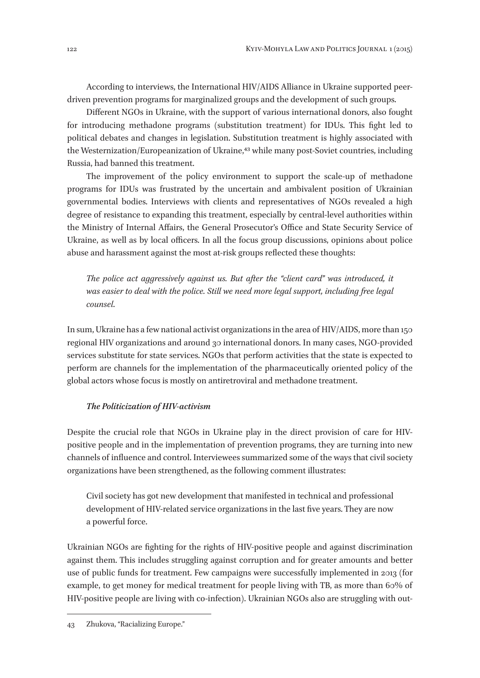According to interviews, the International HIV/AIDS Alliance in Ukraine supported peerdriven prevention programs for marginalized groups and the development of such groups.

Different NGOs in Ukraine, with the support of various international donors, also fought for introducing methadone programs (substitution treatment) for IDUs. This fight led to political debates and changes in legislation. Substitution treatment is highly associated with the Westernization/Europeanization of Ukraine,43 while many post-Soviet countries, including Russia, had banned this treatment.

The improvement of the policy environment to support the scale-up of methadone programs for IDUs was frustrated by the uncertain and ambivalent position of Ukrainian governmental bodies. Interviews with clients and representatives of NGOs revealed a high degree of resistance to expanding this treatment, especially by central-level authorities within the Ministry of Internal Affairs, the General Prosecutor's Office and State Security Service of Ukraine, as well as by local officers. In all the focus group discussions, opinions about police abuse and harassment against the most at-risk groups reflected these thoughts:

*The police act aggressively against us. But after the "client card" was introduced, it*  was easier to deal with the police. Still we need more legal support, including free legal *counsel*.

In sum, Ukraine has a few national activist organizations in the area of HIV/AIDS, more than 150 regional HIV organizations and around 30 international donors. In many cases, NGO-provided services substitute for state services. NGOs that perform activities that the state is expected to perform are channels for the implementation of the pharmaceutically oriented policy of the global actors whose focus is mostly on antiretroviral and methadone treatment.

#### *The Politicization of HIV-activism*

Despite the crucial role that NGOs in Ukraine play in the direct provision of care for HIVpositive people and in the implementation of prevention programs, they are turning into new channels of influence and control. Interviewees summarized some of the ways that civil society organizations have been strengthened, as the following comment illustrates:

Civil society has got new development that manifested in technical and professional development of HIV-related service organizations in the last five years. They are now a powerful force.

Ukrainian NGOs are fighting for the rights of HIV-positive people and against discrimination against them. This includes struggling against corruption and for greater amounts and better use of public funds for treatment. Few campaigns were successfully implemented in 2013 (for example, to get money for medical treatment for people living with TB, as more than 60% of HIV-positive people are living with co-infection). Ukrainian NGOs also are struggling with out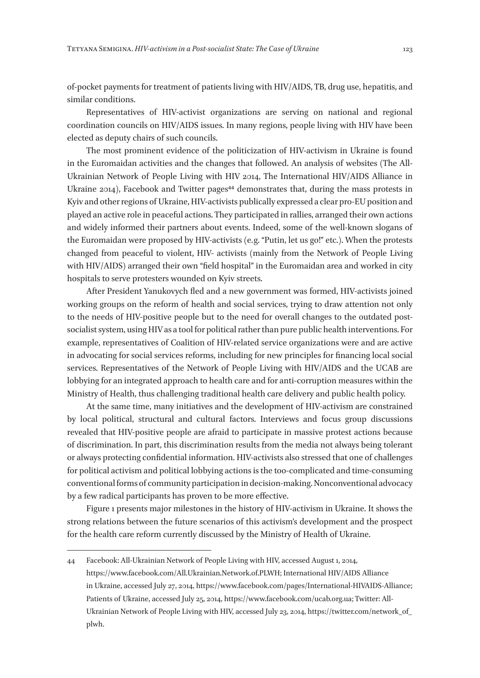of-pocket payments for treatment of patients living with HIV/AIDS, TB, drug use, hepatitis, and similar conditions.

Representatives of HIV-activist organizations are serving on national and regional coordination councils on HIV/AIDS issues. In many regions, people living with HIV have been elected as deputy chairs of such councils.

The most prominent evidence of the politicization of HIV-activism in Ukraine is found in the Euromaidan activities and the changes that followed. An analysis of websites (The All-Ukrainian Network of People Living with HIV 2014, The International HIV/AIDS Alliance in Ukraine 2014), Facebook and Twitter pages<sup>44</sup> demonstrates that, during the mass protests in Kyiv and other regions of Ukraine, HIV-activists publically expressed a clear pro-EU position and played an active role in peaceful actions. They participated in rallies, arranged their own actions and widely informed their partners about events. Indeed, some of the well-known slogans of the Euromaidan were proposed by HIV-activists (e. g. "Putin, let us go!" etc.). When the protests changed from peaceful to violent, HIV- activists (mainly from the Network of People Living with HIV/AIDS) arranged their own "field hospital" in the Euromaidan area and worked in city hospitals to serve protesters wounded on Kyiv streets.

After President Yanukovych fled and a new government was formed, HIV-activists joined working groups on the reform of health and social services, trying to draw attention not only to the needs of HIV-positive people but to the need for overall changes to the outdated postsocialist system, using HIV as a tool for political rather than pure public health interventions. For example, representatives of Coalition of HIV-related service organizations were and are active in advocating for social services reforms, including for new principles for financing local social services. Representatives of the Network of People Living with HIV/AIDS and the UCAB are lobbying for an integrated approach to health care and for anti-corruption measures within the Ministry of Health, thus challenging traditional health care delivery and public health policy.

At the same time, many initiatives and the development of HIV-activism are constrained by local political, structural and cultural factors. Interviews and focus group discussions revealed that HIV-positive people are afraid to participate in massive protest actions because of discrimination. In part, this discrimination results from the media not always being tolerant or always protecting confidential information. HIV-activists also stressed that one of challenges for political activism and political lobbying actions is the too-complicated and time-consuming conventional forms of community participation in decision-making. Nonconventional advocacy by a few radical participants has proven to be more effective.

Figure 1 presents major milestones in the history of HIV-activism in Ukraine. It shows the strong relations between the future scenarios of this activism's development and the prospect for the health care reform currently discussed by the Ministry of Health of Ukraine.

<sup>44</sup> Facebook: All-Ukrainian Network of People Living with HIV, accessed August 1, 2014, https://www.facebook.com/All.Ukrainian.Network.of.PLWH; International HIV/AIDS Alliance in Ukraine, accessed July 27, 2014, https://www.facebook.com/pages/International-HIVAIDS-Alliance; Patients of Ukraine, accessed July 25, 2014, https://www.facebook.com/ucab.org.ua; Twitter: All-Ukrainian Network of People Living with HIV, accessed July 23, 2014, https://twitter.com/network\_of\_ plwh.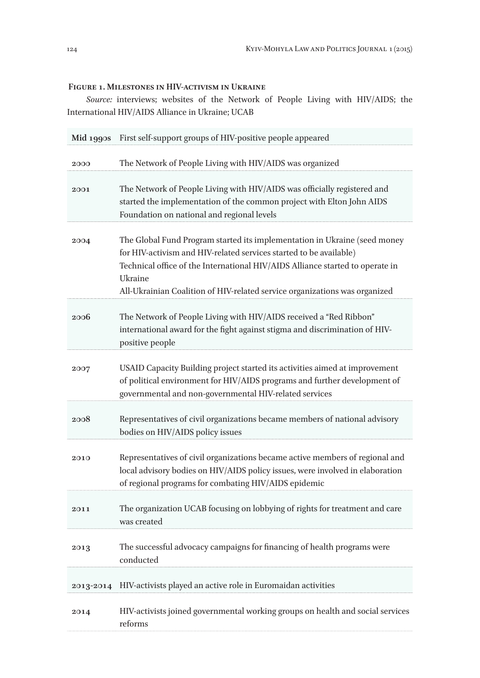### **Figure 1. Milestones in HIV-activism in Ukraine**

*Source:* interviews; websites of the Network of People Living with HIV/AIDS; the International HIV/AIDS Alliance in Ukraine; UCAB

| $Mid$ 1990s | First self-support groups of HIV-positive people appeared                                                                                                                                                                                                                                                                 |
|-------------|---------------------------------------------------------------------------------------------------------------------------------------------------------------------------------------------------------------------------------------------------------------------------------------------------------------------------|
| 2000        | The Network of People Living with HIV/AIDS was organized                                                                                                                                                                                                                                                                  |
| 2001        | The Network of People Living with HIV/AIDS was officially registered and<br>started the implementation of the common project with Elton John AIDS<br>Foundation on national and regional levels                                                                                                                           |
| 2004        | The Global Fund Program started its implementation in Ukraine (seed money<br>for HIV-activism and HIV-related services started to be available)<br>Technical office of the International HIV/AIDS Alliance started to operate in<br>Ukraine<br>All-Ukrainian Coalition of HIV-related service organizations was organized |
| 2006        | The Network of People Living with HIV/AIDS received a "Red Ribbon"<br>international award for the fight against stigma and discrimination of HIV-<br>positive people                                                                                                                                                      |
| 2007        | USAID Capacity Building project started its activities aimed at improvement<br>of political environment for HIV/AIDS programs and further development of<br>governmental and non-governmental HIV-related services                                                                                                        |
| 2008        | Representatives of civil organizations became members of national advisory<br>bodies on HIV/AIDS policy issues                                                                                                                                                                                                            |
| 2010        | Representatives of civil organizations became active members of regional and<br>local advisory bodies on HIV/AIDS policy issues, were involved in elaboration<br>of regional programs for combating HIV/AIDS epidemic                                                                                                     |
| 2011        | The organization UCAB focusing on lobbying of rights for treatment and care<br>was created                                                                                                                                                                                                                                |
| 2013        | The successful advocacy campaigns for financing of health programs were<br>conducted                                                                                                                                                                                                                                      |
| 2013-2014   | HIV-activists played an active role in Euromaidan activities                                                                                                                                                                                                                                                              |
| 2014        | HIV-activists joined governmental working groups on health and social services<br>reforms                                                                                                                                                                                                                                 |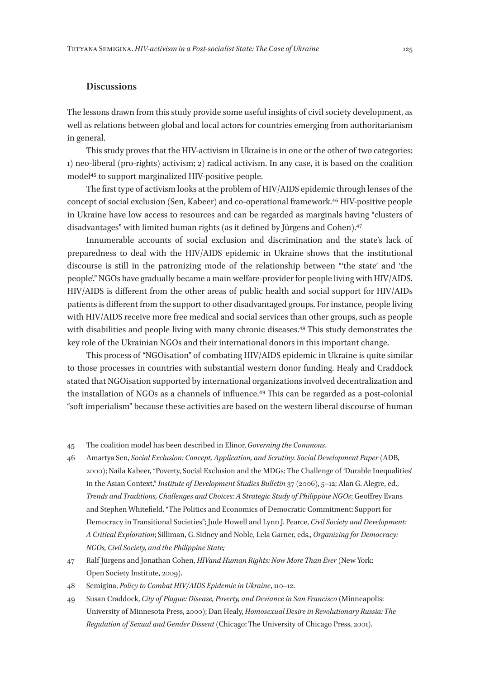### **Discussions**

The lessons drawn from this study provide some useful insights of civil society development, as well as relations between global and local actors for countries emerging from authoritarianism in general.

This study proves that the HIV-activism in Ukraine is in one or the other of two categories: 1) neo-liberal (pro-rights) activism; 2) radical activism. In any case, it is based on the coalition model45 to support marginalized HIV-positive people.

The first type of activism looks at the problem of HIV/AIDS epidemic through lenses of the concept of social exclusion (Sen, Kabeer) and co-operational framework.46 HIV-positive people in Ukraine have low access to resources and can be regarded as marginals having "clusters of disadvantages" with limited human rights (as it defined by Jürgens and Cohen).47

Innumerable accounts of social exclusion and discrimination and the state's lack of preparedness to deal with the HIV/AIDS epidemic in Ukraine shows that the institutional discourse is still in the patronizing mode of the relationship between "'the state' and 'the people'." NGOs have gradually became a main welfare-provider for people living with HIV/AIDS. HIV/AIDS is different from the other areas of public health and social support for HIV/AIDs patients is different from the support to other disadvantaged groups. For instance, people living with HIV/AIDS receive more free medical and social services than other groups, such as people with disabilities and people living with many chronic diseases.<sup>48</sup> This study demonstrates the key role of the Ukrainian NGOs and their international donors in this important change.

This process of "NGOisation" of combating HIV/AIDS epidemic in Ukraine is quite similar to those processes in countries with substantial western donor funding. Healy and Craddock stated that NGOisation supported by international organizations involved decentralization and the installation of NGOs as a channels of influence.<sup>49</sup> This can be regarded as a post-colonial "soft imperialism" because these activities are based on the western liberal discourse of human

<sup>45</sup> The coalition model has been described in Elinor, *Governing the Commons*.

<sup>46</sup> Amartya Sen, *Social Exclusion: Concept, Application, and Scrutiny. Social Development Paper* (ADB, 2000); Naila Kabeer, "Poverty, Social Exclusion and the MDGs: The Challenge of 'Durable Inequalities' in the Asian Context," *Institute of Development Studies Bulletin* 37 (2006), 5–12; Alan G. Alegre, ed., *Trends and Traditions, Challenges and Choices: A Strategic Study of Philippine NGOs*; Geoffrey Evans and Stephen Whitefield, "The Politics and Economics of Democratic Commitment: Support for Democracy in Transitional Societies"; Jude Howell and Lynn J. Pearce, *Civil Society and Development: A Critical Exploration*; Silliman, G. Sidney and Noble, Lela Garner, eds., *Organizing for Democracy: NGOs, Civil Society, and the Philippine State;*

<sup>47</sup> Ralf Jürgens and Jonathan Cohen, *HIVand Human Rights: Now More Than Ever* (New York: Open Society Institute, 2009).

<sup>48</sup> Semigina, *Policy to Combat HIV/AIDS Epidemic in Ukraine*, 110–12.

<sup>49</sup> Susan Craddock, *City of Plague: Disease, Poverty, and Deviance in San Francisco* (Minneapolis: University of Minnesota Press, 2000); Dan Healy, *Homosexual Desire in Revolutionary Russia: The Regulation of Sexual and Gender Dissent* (Chicago: The University of Chicago Press, 2001).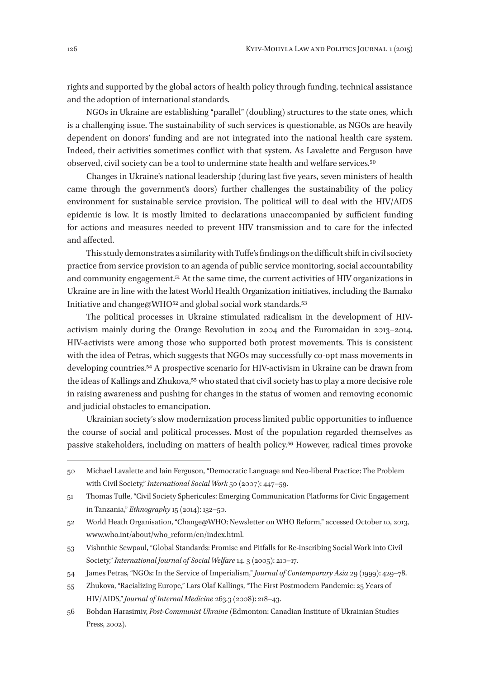rights and supported by the global actors of health policy through funding, technical assistance and the adoption of international standards.

NGOs in Ukraine are establishing "parallel" (doubling) structures to the state ones, which is a challenging issue. The sustainability of such services is questionable, as NGOs are heavily dependent on donors' funding and are not integrated into the national health care system. Indeed, their activities sometimes conflict with that system. As Lavalette and Ferguson have observed, civil society can be a tool to undermine state health and welfare services.50

Changes in Ukraine's national leadership (during last five years, seven ministers of health came through the government's doors) further challenges the sustainability of the policy environment for sustainable service provision. The political will to deal with the HIV/AIDS epidemic is low. It is mostly limited to declarations unaccompanied by sufficient funding for actions and measures needed to prevent HIV transmission and to care for the infected and affected.

This study demonstrates a similarity with Tuffe's findings on the difficult shift in civil society practice from service provision to an agenda of public service monitoring, social accountability and community engagement.51 At the same time, the current activities of HIV organizations in Ukraine are in line with the latest World Health Organization initiatives, including the Bamako Initiative and change@WHO<sup>52</sup> and global social work standards.<sup>53</sup>

The political processes in Ukraine stimulated radicalism in the development of HIVactivism mainly during the Orange Revolution in 2004 and the Euromaidan in 2013–2014. HIV-activists were among those who supported both protest movements. This is consistent with the idea of Petras, which suggests that NGOs may successfully co-opt mass movements in developing countries.54 A prospective scenario for HIV-activism in Ukraine can be drawn from the ideas of Kallings and Zhukova,55 who stated that civil society has to play a more decisive role in raising awareness and pushing for changes in the status of women and removing economic and judicial obstacles to emancipation.

Ukrainian society's slow modernization process limited public opportunities to influence the course of social and political processes. Most of the population regarded themselves as passive stakeholders, including on matters of health policy.56 However, radical times provoke

<sup>50</sup> Michael Lavalette and Iain Ferguson, "Democratic Language and Neo-liberal Practice: The Problem with Civil Society," *International Social Work* 50 (2007): 447–59.

<sup>51</sup> Thomas Tufle, "Civil Society Sphericules: Emerging Communication Platforms for Civic Engagement in Tanzania," *Ethnography* 15 (2014): 132–50.

<sup>52</sup> World Heath Organisation, "Change@WHO: Newsletter on WHO Reform," accessed October 10, 2013, www.who.int/about/who\_reform/en/index.html.

<sup>53</sup> Vishnthie Sewpaul, "Global Standards: Promise and Pitfalls for Re-inscribing Social Work into Civil Society," *International Journal of Social Welfare* 14. 3 (2005): 210–17.

<sup>54</sup> James Petras, "NGOs: In the Service of Imperialism," *Journal of Contemporary Asia* 29 (1999): 429–78.

<sup>55</sup> Zhukova, "Racializing Europe," Lars Olaf Kallings, "The First Postmodern Pandemic: 25 Уears of HIV/ AIDS," *Journal of Internal Medicine* 263.3 (2008): 218–43.

<sup>56</sup> Bohdan Harasimiv, *Post-Communist Ukraine* (Edmonton: Canadian Institute of Ukrainian Studies Press, 2002).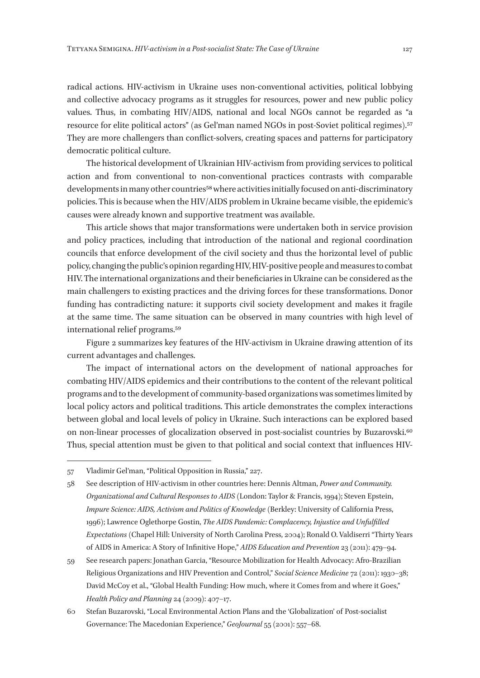radical actions. HIV-activism in Ukraine uses non-conventional activities, political lobbying and collective advocacy programs as it struggles for resources, power and new public policy values. Thus, in combating HIV/AIDS, national and local NGOs cannot be regarded as "a resource for elite political actors" (as Gel'man named NGOs in post-Soviet political regimes).57 They are more challengers than conflict-solvers, creating spaces and patterns for participatory democratic political culture.

The historical development of Ukrainian HIV-activism from providing services to political action and from conventional to non-conventional practices contrasts with comparable developments in many other countries<sup>58</sup> where activities initially focused on anti-discriminatory policies. This is because when the HIV/AIDS problem in Ukraine became visible, the epidemic's causes were already known and supportive treatment was available.

This article shows that major transformations were undertaken both in service provision and policy practices, including that introduction of the national and regional coordination councils that enforce development of the civil society and thus the horizontal level of public policy, changing the public's opinion regarding HIV, HIV-positive people and measures to combat HIV. The international organizations and their beneficiaries in Ukraine can be considered as the main challengers to existing practices and the driving forces for these transformations. Donor funding has contradicting nature: it supports civil society development and makes it fragile at the same time. The same situation can be observed in many countries with high level of international relief programs.59

Figure 2 summarizes key features of the HIV-activism in Ukraine drawing attention of its current advantages and challenges.

The impact of international actors on the development of national approaches for combating HIV/AIDS epidemics and their contributions to the content of the relevant political programs and to the development of community-based organizations was sometimes limited by local policy actors and political traditions. This article demonstrates the complex interactions between global and local levels of policy in Ukraine. Such interactions can be explored based on non-linear processes of glocalization observed in post-socialist countries by Buzarovski.<sup>60</sup> Thus, special attention must be given to that political and social context that influences HIV-

<sup>57</sup> Vladimir Gel'man, "Political Opposition in Russia," 227.

<sup>58</sup> See description of HIV-activism in other countries here: Dennis Altman, *Power and Community. Organizational and Cultural Responses to AIDS* (London: Taylor & Francis, 1994); Steven Epstein, *Impure Science: AIDS, Activism and Politics of Knowledge* (Berkley: University of California Press, 1996); Lawrence Oglethorpe Gostin, *The AIDS Pandemic: Complacency, Injustice and Unfulfilled Expectations* (Chapel Hill: University of North Carolina Press, 2004); Ronald O. Valdiserri "Thirty Years of AIDS in America: A Story of Infinitive Hope," *AIDS Education and Prevention* 23 (2011): 479–94.

<sup>59</sup> See research papers: Jonathan Garcia, "Resource Mobilization for Health Advocacy: Afro-Brazilian Religious Organizations and HIV Prevention and Control," *Social Science Medicine* 72 (2011): 1930–38; David McCoy et al., "Global Health Funding: How much, where it Comes from and where it Goes," *Health Policy and Planning* 24 (2009): 407–17.

<sup>60</sup> Stefan Buzarovski, "Local Environmental Action Plans and the 'Globalization' of Post-socialist Governance: The Macedonian Experience," *GeoJournal* 55 (2001): 557–68.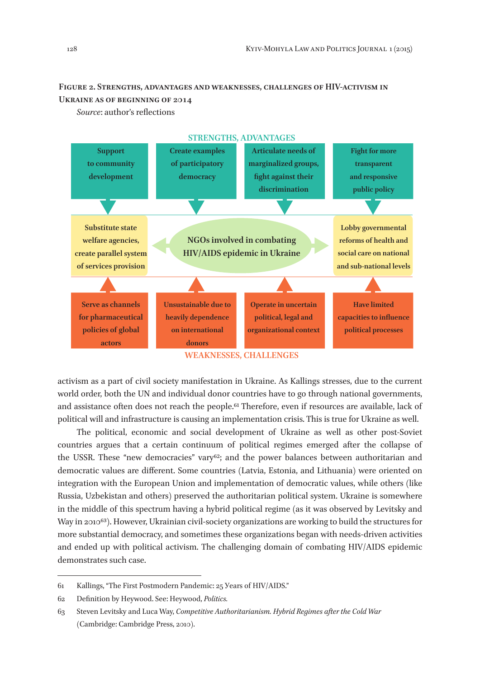## **Figure 2. Strengths, advantages and weaknesses, challenges of HIV-activism in Ukraine as of beginning of 2014**

*Source*: author's reflections



**WEAKNESSES, CHALLENGES** 

activism as a part of civil society manifestation in Ukraine. As Kallings stresses, due to the current world order, both the UN and individual donor countries have to go through national governments, and assistance often does not reach the people.61 Therefore, even if resources are available, lack of political will and infrastructure is causing an implementation crisis. This is true for Ukraine as well.

The political, economic and social development of Ukraine as well as other post-Soviet countries argues that a certain continuum of political regimes emerged after the collapse of the USSR. These "new democracies" vary<sup>62</sup>; and the power balances between authoritarian and democratic values are different. Some countries (Latvia, Estonia, and Lithuania) were oriented on integration with the European Union and implementation of democratic values, while others (like Russia, Uzbekistan and others) preserved the authoritarian political system. Ukraine is somewhere in the middle of this spectrum having a hybrid political regime (as it was observed by Levitsky and Way in 2010<sup>63</sup>). However, Ukrainian civil-society organizations are working to build the structures for more substantial democracy, and sometimes these organizations began with needs-driven activities and ended up with political activism. The challenging domain of combating HIV/AIDS epidemic demonstrates such case.

<sup>61</sup> Kallings, "The First Postmodern Pandemic: 25 Уears of HIV/AIDS."

<sup>62</sup> Definition by Heywood. See: Heywood, *Politics.*

<sup>63</sup> Steven Levitsky and Luca Way, *Competitive Authoritarianism. Hybrid Regimes after the Cold War*  (Cambridge: Cambridge Press, 2010).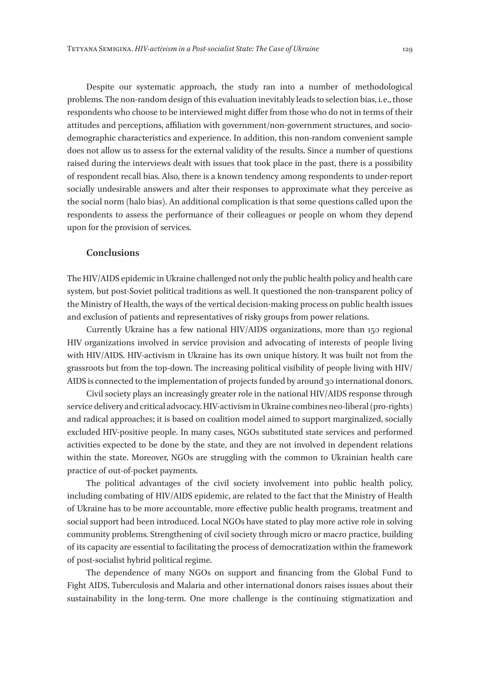Despite our systematic approach, the study ran into a number of methodological problems. The non-random design of this evaluation inevitably leads to selection bias, i. e., those respondents who choose to be interviewed might differ from those who do not in terms of their attitudes and perceptions, affiliation with government/non-government structures, and sociodemographic characteristics and experience. In addition, this non-random convenient sample does not allow us to assess for the external validity of the results. Since a number of questions raised during the interviews dealt with issues that took place in the past, there is a possibility of respondent recall bias. Also, there is a known tendency among respondents to under-report socially undesirable answers and alter their responses to approximate what they perceive as the social norm (halo bias). An additional complication is that some questions called upon the respondents to assess the performance of their colleagues or people on whom they depend upon for the provision of services.

#### **Conclusions**

The HIV/AIDS epidemic in Ukraine challenged not only the public health policy and health care system, but post-Soviet political traditions as well. It questioned the non-transparent policy of the Ministry of Health, the ways of the vertical decision-making process on public health issues and exclusion of patients and representatives of risky groups from power relations.

Currently Ukraine has a few national HIV/AIDS organizations, more than 150 regional HIV organizations involved in service provision and advocating of interests of people living with HIV/AIDS. HIV-activism in Ukraine has its own unique history. It was built not from the grassroots but from the top-down. The increasing political visibility of people living with HIV/ AIDS is connected to the implementation of projects funded by around 30 international donors.

Civil society plays an increasingly greater role in the national HIV/AIDS response through service delivery and critical advocacy. HIV-activism in Ukraine combines neo-liberal (pro-rights) and radical approaches; it is based on coalition model aimed to support marginalized, socially excluded HIV-positive people. In many cases, NGOs substituted state services and performed activities expected to be done by the state, and they are not involved in dependent relations within the state. Moreover, NGOs are struggling with the common to Ukrainian health care practice of out-of-pocket payments.

The political advantages of the civil society involvement into public health policy, including combating of HIV/AIDS epidemic, are related to the fact that the Ministry of Health of Ukraine has to be more accountable, more effective public health programs, treatment and social support had been introduced. Local NGOs have stated to play more active role in solving community problems. Strengthening of civil society through micro or macro practice, building of its capacity are essential to facilitating the process of democratization within the framework of post-socialist hybrid political regime.

The dependence of many NGOs on support and financing from the Global Fund to Fight AIDS, Tuberculosis and Malaria and other international donors raises issues about their sustainability in the long-term. One more challenge is the continuing stigmatization and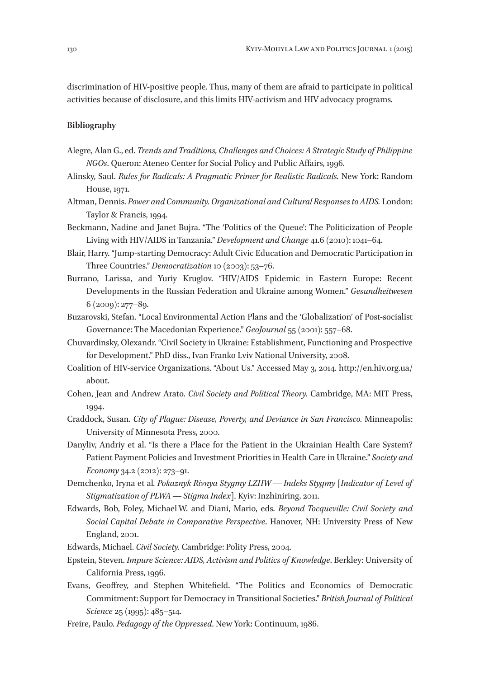discrimination of HIV-positive people. Thus, many of them are afraid to participate in political activities because of disclosure, and this limits HIV-activism and HIV advocacy programs.

#### **Bibliography**

- Alegre, Alan G., ed. *Trends and Traditions, Challenges and Choices: A Strategic Study of Philippine NGOs*. Queron: Ateneo Center for Social Policy and Public Affairs, 1996.
- Alinsky, Saul. *Rules for Radicals: A Pragmatic Primer for Realistic Radicals.* New York: Random House, 1971.
- Altman, Dennis. *Power and Community. Organizational and Cultural Responses to AIDS.* London: Taylor & Francis, 1994.
- Beckmann, Nadine and Janet Bujra. "The 'Politics of the Queue': The Politicization of People Living with HIV/AIDS in Tanzania." *Development and Change* 41.6 (2010): 1041–64.
- Blair, Harry. "Jump-starting Democracy: Adult Civic Education and Democratic Participation in Three Countries." *Democratization* 10 (2003): 53–76.
- Burrano, Larissa, and Yuriy Kruglov. "HIV/AIDS Epidemic in Eastern Europe: Recent Developments in the Russian Federation and Ukraine among Women." *Gesundheitwesen* 6 (2009): 277–89.
- Buzarovski, Stefan. "Local Environmental Action Plans and the 'Globalization' of Post-socialist Governance: The Macedonian Experience." *GeoJournal* 55 (2001): 557–68.
- Chuvardinsky, Olexandr. "Civil Society in Ukraine: Establishment, Functioning and Prospective for Development." PhD diss., Ivan Franko Lviv National University, 2008.
- Coalition of HIV-service Organizations. "About Us." Accessed May 3, 2014. http://en.hiv.org.ua/ about.
- Cohen, Jean and Andrew Arato. *Civil Society and Political Theory.* Cambridge, MA: MIT Press, 1994.
- Craddock, Susan. *City of Plague: Disease, Poverty, and Deviance in San Francisco.* Minneapolis: University of Minnesota Press, 2000.
- Danyliv, Andriy et al. "Is there a Place for the Patient in the Ukrainian Health Сare System? Patient Payment Policies and Investment Priorities in Health Care in Ukraine." *Society and Economy* 34.2 (2012): 273–91.
- Demchenko, Iryna et al*. Pokaznyk Rivnya Stygmy LZHW — Indeks Stygmy* [*Indicator of Level of Stigmatization of PLWA — Stigma Index*]. Kyiv: Inzhiniring, 2011.
- Edwards, Bob, Foley, Michael W. and Diani, Mario, eds. *Beyond Tocqueville: Civil Society and Social Capital Debate in Comparative Perspective*. Hanover, NH: University Press of New England, 2001.
- Edwards, Michael. *Civil Society.* Cambridge: Polity Press, 2004.
- Epstein, Steven. *Impure Science: AIDS, Activism and Politics of Knowledge*. Berkley: University of California Press, 1996.
- Evans, Geoffrey, and Stephen Whitefield. "The Politics and Economics of Democratic Commitment: Support for Democracy in Transitional Societies." *British Journal of Political Science* 25 (1995): 485–514.
- Freire, Paulo. *Pedagogy of the Oppressed*. New York: Continuum, 1986.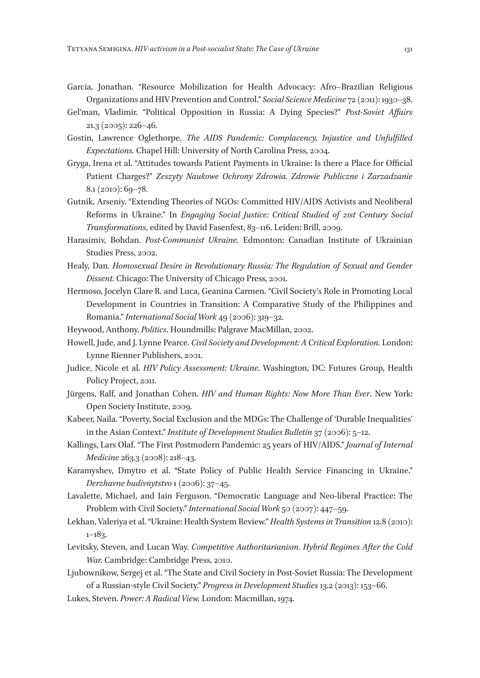- Garcia, Jonathan. "Resource Mobilization for Health Advocacy: Afro–Brazilian Religious Organizations and HIV Prevention and Control." *Social Science Medicine* 72 (2011): 1930–38.
- Gel'man, Vladimir. "Political Opposition in Russia: A Dying Species?" *Post-Soviet Affairs* 21.3 (2005): 226–46.
- Gostin, Lawrence Oglethorpe. *The AIDS Pandemic: Complacency, Injustice and Unfulfilled Expectations.* Chapel Hill: University of North Carolina Press, 2004.
- Gryga, Irena et al. "Attitudes towards Patient Payments in Ukraine: Is there a Place for Official Patient Charges?" *Zeszyty Naukowe Ochrony Zdrowia. Zdrowie Publiczne i Zarzadzanie*  8.1 (2010): 69–78.
- Gutnik, Arseniy. "Extending Theories of NGOs: Committed HIV/AIDS Activists and Neoliberal Reforms in Ukraine." In *Engaging Social Justice: Critical Studied of 21st Century Social Transformations*, edited by David Fasenfest, 83–116. Leiden: Brill, 2009.
- Harasimiv, Bohdan. *Post-Communist Ukraine.* Edmonton: Canadian Institute of Ukrainian Studies Press, 2002.
- Healy, Dan*. Homosexual Desire in Revolutionary Russia: The Regulation of Sexual and Gender Dissent.* Chicago: The University of Chicago Press, 2001.
- Hermoso, Jocelyn Clare R. and Luca, Geanina Carmen. "Civil Society's Role in Promoting Local Development in Countries in Transition: A Comparative Study of the Philippines and Romania." *International Social Work* 49 (2006): 319–32.
- Heywood, Anthony. *Politics*. Houndmills: Palgrave MacMillan, 2002.
- Howell, Jude, and J. Lynne Pearce. *Civil Society and Development: A Critical Exploration.* London: Lynne Rienner Publishers, 2001.
- Judice, Nicole et al. *HIV Policy Assessment: Ukraine*. Washington, DC: Futures Group, Health Policy Project, 2011.
- Jürgens, Ralf, and Jonathan Cohen. *HIV and Human Rights: Now More Than Ever*. New York: Open Society Institute, 2009.
- Kabeer, Naila. "Poverty, Social Exclusion and the MDGs: The Challenge of 'Durable Inequalities' in the Asian Context." *Institute of Development Studies Bulletin* 37 (2006): 5–12.
- Kallings, Lars Olaf. "The First Postmodern Pandemic: 25 years of HIV/AIDS." *Journal of Internal Medicine* 263.3 (2008): 218–43.
- Karamyshev, Dmytro et al. "State Policy of Public Health Service Financing in Ukraine." *Derzhavne budivnytstvo* 1 (2006): 37–45.
- Lavalette, Michael, and Iain Ferguson. "Democratic Language and Neo-liberal Practice: The Problem with Civil Society." *International Social Work* 50 (2007): 447–59.
- Lekhan, Valeriya et al. "Ukraine: Health System Review." *Health Systems in Transition* 12.8 (2010): 1–183.
- Levitsky, Steven, and Lucan Way. *Competitive Authoritarianism. Hybrid Regimes After the Cold War.* Cambridge: Cambridge Press, 2010.
- Ljubownikow, Sergej et al. "The State and Civil Society in Post-Soviet Russia: The Development of a Russian-style Civil Society." *Progress in Development Studies* 13.2 (2013): 153–66.
- Lukes, Steven. *Power: A Radical View.* London: Macmillan, 1974.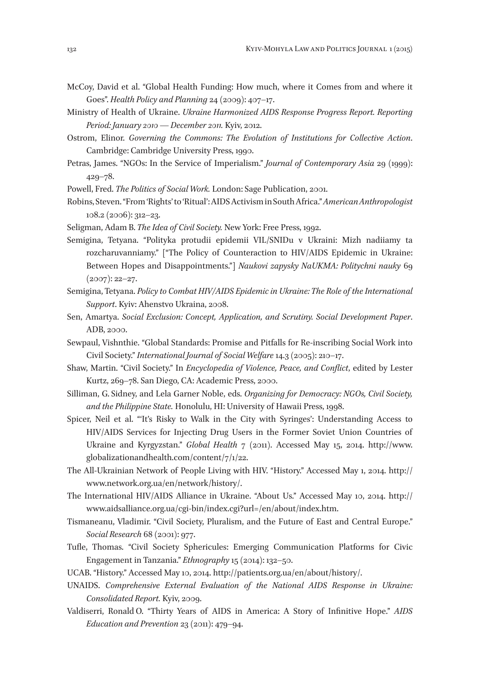- McCoy, David et al. "Global Health Funding: How much, where it Comes from and where it Goes". *Health Policy and Planning* 24 (2009): 407–17.
- Ministry of Health of Ukraine. *Ukraine Harmonized AIDS Response Progress Report. Reporting Period: January 2010 — December 2011.* Kyiv, 2012.
- Ostrom, Elinor. *Governing the Commons: The Evolution of Institutions for Collective Action*. Cambridge: Cambridge University Press, 1990.
- Petras, James. "NGOs: In the Service of Imperialism." *Journal of Contemporary Asia* 29 (1999): 429–78.

Powell, Fred. *The Politics of Social Work.* London: Sage Publication, 2001.

- Robins, Steven. "From 'Rights' to 'Ritual': AIDS Activism in South Africa." *American Anthropologist*  108.2 (2006): 312–23.
- Seligman, Adam B.*The Idea of Civil Society.* New York: Free Press, 1992.
- Semigina, Tetyana. "Polityka protudii epidemii VIL/SNIDu v Ukraini: Mizh nadiiamy ta rozcharuvanniamy." ["The Policy of Counteraction to HIV/AIDS Epidemic in Ukraine: Between Hopes and Disappointments."] *Naukovi zapysky NaUKMA: Politychni nauky* 69 (2007): 22–27.
- Semigina, Tetyana. *Policy to Combat HIV/AIDS Epidemic in Ukraine: The Role of the International Support*. Kyiv: Ahenstvo Ukraina, 2008.
- Sen, Amartya. *Social Exclusion: Concept, Application, and Scrutiny. Social Development Paper*. ADB, 2000.
- Sewpaul, Vishnthie. "Global Standards: Promise and Pitfalls for Re-inscribing Social Work into Civil Society." *International Journal of Social Welfare* 14.3 (2005): 210–17.
- Shaw, Martin. "Civil Society." In *Encyclopedia of Violence, Peace, and Conflict*, edited by Lester Kurtz, 269–78. San Diego, CA: Academic Press, 2000.
- Silliman, G. Sidney, and Lela Garner Noble, eds. *Organizing for Democracy: NGOs, Civil Society, and the Philippine State.* Honolulu, HI: University of Hawaii Press, 1998.
- Spicer, Neil et al. "'It's Risky to Walk in the City with Syringes': Understanding Access to HIV/AIDS Services for Injecting Drug Users in the Former Soviet Union Countries of Ukraine and Kyrgyzstan." *Global Health* 7 (2011). Accessed May 15, 2014. http://www. globalizationandhealth.com/content/7/1/22.
- The All-Ukrainian Network of People Living with HIV. "History." Accessed May 1, 2014. http:// www.network.org.ua/en/network/history/.
- The International HIV/AIDS Alliance in Ukraine. "About Us." Accessed May 10, 2014. http:// www.aidsalliance.org.ua/cgi-bin/index.cgi?url=/en/about/index.htm.
- Tismaneanu, Vladimir. "Civil Society, Pluralism, and the Future of East and Central Europe." *Social Research* 68 (2001): 977.
- Tufle, Thomas. "Civil Society Sphericules: Emerging Communication Platforms for Civic Engagement in Tanzania." *Ethnography* 15 (2014): 132–50.
- UCAB. "History." Accessed May 10, 2014. http://patients.org.ua/en/about/history/.
- UNAIDS. *Comprehensive External Evaluation of the National AIDS Response in Ukraine: Consolidated Report.* Kyiv, 2009.
- Valdiserri, Ronald O. "Thirty Years of AIDS in America: A Story of Infinitive Hope." *AIDS Education and Prevention* 23 (2011): 479–94.